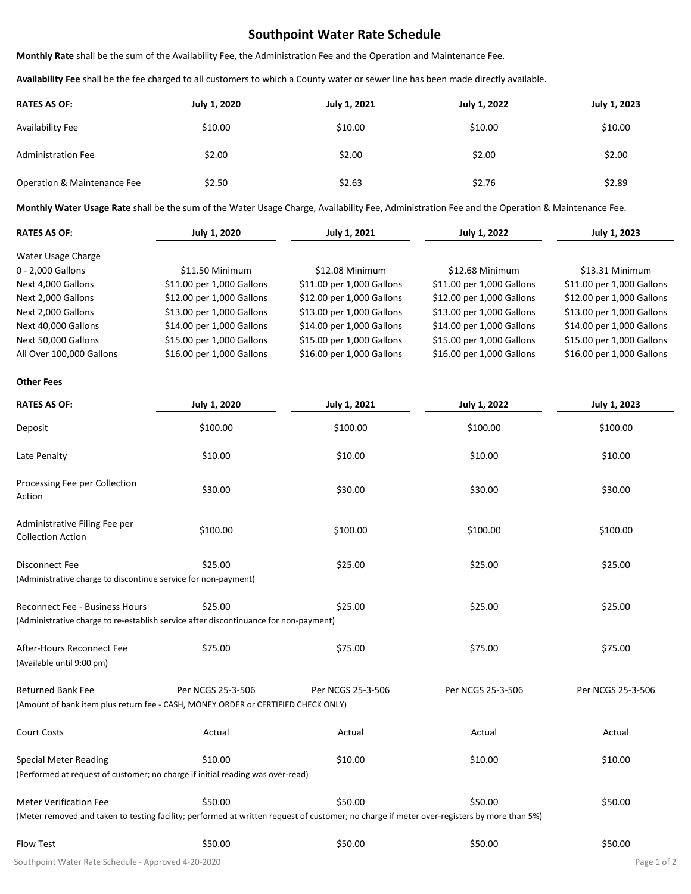## **Southpoint Water Rate Schedule**

**Monthly Rate** shall be the sum of the Availability Fee, the Administration Fee and the Operation and Maintenance Fee.

**Availability Fee** shall be the fee charged to all customers to which a County water or sewer line has been made directly available.

| <b>RATES AS OF:</b>         | July 1, 2020 | July 1, 2021 | July 1, 2022 | July 1, 2023 |
|-----------------------------|--------------|--------------|--------------|--------------|
| Availability Fee            | \$10.00      | \$10.00      | \$10.00      | \$10.00      |
| <b>Administration Fee</b>   | \$2.00       | \$2.00       | \$2.00       | \$2.00       |
| Operation & Maintenance Fee | \$2.50       | \$2.63       | \$2.76       | \$2.89       |

**Monthly Water Usage Rate** shall be the sum of the Water Usage Charge, Availability Fee, Administration Fee and the Operation & Maintenance Fee.

| <b>RATES AS OF:</b>      | July 1, 2020              | July 1, 2021              | July 1, 2022              | July 1, 2023              |
|--------------------------|---------------------------|---------------------------|---------------------------|---------------------------|
| Water Usage Charge       |                           |                           |                           |                           |
| 0 - 2,000 Gallons        | \$11.50 Minimum           | \$12.08 Minimum           | \$12.68 Minimum           | \$13.31 Minimum           |
| Next 4,000 Gallons       | \$11.00 per 1,000 Gallons | \$11.00 per 1,000 Gallons | \$11.00 per 1,000 Gallons | \$11.00 per 1,000 Gallons |
| Next 2,000 Gallons       | \$12.00 per 1,000 Gallons | \$12.00 per 1,000 Gallons | \$12.00 per 1,000 Gallons | \$12.00 per 1,000 Gallons |
| Next 2,000 Gallons       | \$13.00 per 1,000 Gallons | \$13.00 per 1,000 Gallons | \$13.00 per 1,000 Gallons | \$13.00 per 1,000 Gallons |
| Next 40,000 Gallons      | \$14.00 per 1,000 Gallons | \$14.00 per 1,000 Gallons | \$14.00 per 1,000 Gallons | \$14.00 per 1,000 Gallons |
| Next 50,000 Gallons      | \$15.00 per 1,000 Gallons | \$15.00 per 1,000 Gallons | \$15.00 per 1,000 Gallons | \$15.00 per 1,000 Gallons |
| All Over 100,000 Gallons | \$16.00 per 1,000 Gallons | \$16.00 per 1,000 Gallons | \$16.00 per 1,000 Gallons | \$16.00 per 1,000 Gallons |

**Other Fees**

| <b>RATES AS OF:</b>                                                                                                                                                         | July 1, 2020      | <b>July 1, 2021</b> | <b>July 1, 2022</b> | July 1, 2023      |
|-----------------------------------------------------------------------------------------------------------------------------------------------------------------------------|-------------------|---------------------|---------------------|-------------------|
| Deposit                                                                                                                                                                     | \$100.00          | \$100.00            | \$100.00            | \$100.00          |
| Late Penalty                                                                                                                                                                | \$10.00           | \$10.00             | \$10.00             | \$10.00           |
| Processing Fee per Collection<br>Action                                                                                                                                     | \$30.00           | \$30.00             | \$30.00             | \$30.00           |
| Administrative Filing Fee per<br><b>Collection Action</b>                                                                                                                   | \$100.00          | \$100.00            | \$100.00            | \$100.00          |
| <b>Disconnect Fee</b><br>(Administrative charge to discontinue service for non-payment)                                                                                     | \$25.00           | \$25.00             | \$25.00             | \$25.00           |
| <b>Reconnect Fee - Business Hours</b><br>(Administrative charge to re-establish service after discontinuance for non-payment)                                               | \$25.00           | \$25.00             | \$25.00             | \$25.00           |
| After-Hours Reconnect Fee<br>(Available until 9:00 pm)                                                                                                                      | \$75.00           | \$75.00             | \$75.00             | \$75.00           |
| <b>Returned Bank Fee</b><br>(Amount of bank item plus return fee - CASH, MONEY ORDER or CERTIFIED CHECK ONLY)                                                               | Per NCGS 25-3-506 | Per NCGS 25-3-506   | Per NCGS 25-3-506   | Per NCGS 25-3-506 |
| <b>Court Costs</b>                                                                                                                                                          | Actual            | Actual              | Actual              | Actual            |
| <b>Special Meter Reading</b><br>(Performed at request of customer; no charge if initial reading was over-read)                                                              | \$10.00           | \$10.00             | \$10.00             | \$10.00           |
| <b>Meter Verification Fee</b><br>(Meter removed and taken to testing facility; performed at written request of customer; no charge if meter over-registers by more than 5%) | \$50.00           | \$50.00             | \$50.00             | \$50.00           |
| Flow Test                                                                                                                                                                   | \$50.00           | \$50.00             | \$50.00             | \$50.00           |